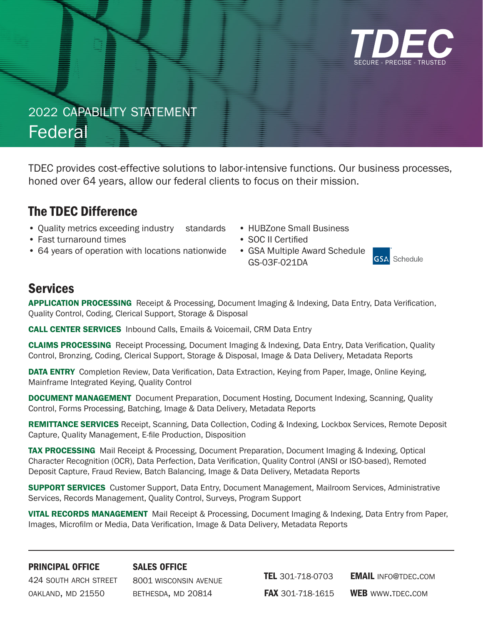

# 2022 capability statement Federal

TDEC provides cost-effective solutions to labor-intensive functions. Our business processes, honed over 64 years, allow our federal clients to focus on their mission.

### The TDEC Difference

- Quality metrics exceeding industry standards
- Fast turnaround times
- 64 years of operation with locations nationwide GSA Multiple Award Schedule
- HUBZone Small Business
- SOC II Certified
	- GS-03F-021DA



### Services

APPLICATION PROCESSING Receipt & Processing, Document Imaging & Indexing, Data Entry, Data Verification, Quality Control, Coding, Clerical Support, Storage & Disposal

CALL CENTER SERVICES Inbound Calls, Emails & Voicemail, CRM Data Entry

CLAIMS PROCESSING Receipt Processing, Document Imaging & Indexing, Data Entry, Data Verification, Quality Control, Bronzing, Coding, Clerical Support, Storage & Disposal, Image & Data Delivery, Metadata Reports

DATA ENTRY Completion Review, Data Verification, Data Extraction, Keying from Paper, Image, Online Keying, Mainframe Integrated Keying, Quality Control

DOCUMENT MANAGEMENT Document Preparation, Document Hosting, Document Indexing, Scanning, Quality Control, Forms Processing, Batching, Image & Data Delivery, Metadata Reports

REMITTANCE SERVICES Receipt, Scanning, Data Collection, Coding & Indexing, Lockbox Services, Remote Deposit Capture, Quality Management, E-file Production, Disposition

TAX PROCESSING Mail Receipt & Processing, Document Preparation, Document Imaging & Indexing, Optical Character Recognition (OCR), Data Perfection, Data Verification, Quality Control (ANSI or ISO-based), Remoted Deposit Capture, Fraud Review, Batch Balancing, Image & Data Delivery, Metadata Reports

**SUPPORT SERVICES** Customer Support, Data Entry, Document Management, Mailroom Services, Administrative Services, Records Management, Quality Control, Surveys, Program Support

VITAL RECORDS MANAGEMENT Mail Receipt & Processing, Document Imaging & Indexing, Data Entry from Paper, Images, Microfilm or Media, Data Verification, Image & Data Delivery, Metadata Reports

### principal office

sales office

424 south arch street oakland, md 21550

8001 wisconsin avenue bethesda, md 20814

TEL 301-718-0703 **FAX** 301-718-1615 **EMAIL INFO@TDEC.COM** WEB WWW.TDEC.COM